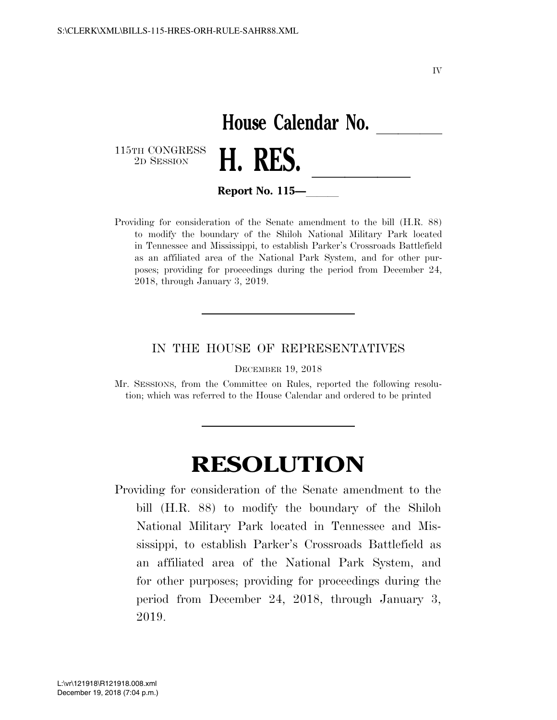IV

## House Calendar No.<br>**H. RES.**

115TH CONGRESS<br>2D SESSION



**Report No. 115—** 

Providing for consideration of the Senate amendment to the bill (H.R. 88) to modify the boundary of the Shiloh National Military Park located in Tennessee and Mississippi, to establish Parker's Crossroads Battlefield as an affiliated area of the National Park System, and for other purposes; providing for proceedings during the period from December 24, 2018, through January 3, 2019.

## IN THE HOUSE OF REPRESENTATIVES

DECEMBER 19, 2018

Mr. SESSIONS, from the Committee on Rules, reported the following resolution; which was referred to the House Calendar and ordered to be printed

## **RESOLUTION**

Providing for consideration of the Senate amendment to the bill (H.R. 88) to modify the boundary of the Shiloh National Military Park located in Tennessee and Mississippi, to establish Parker's Crossroads Battlefield as an affiliated area of the National Park System, and for other purposes; providing for proceedings during the period from December 24, 2018, through January 3, 2019.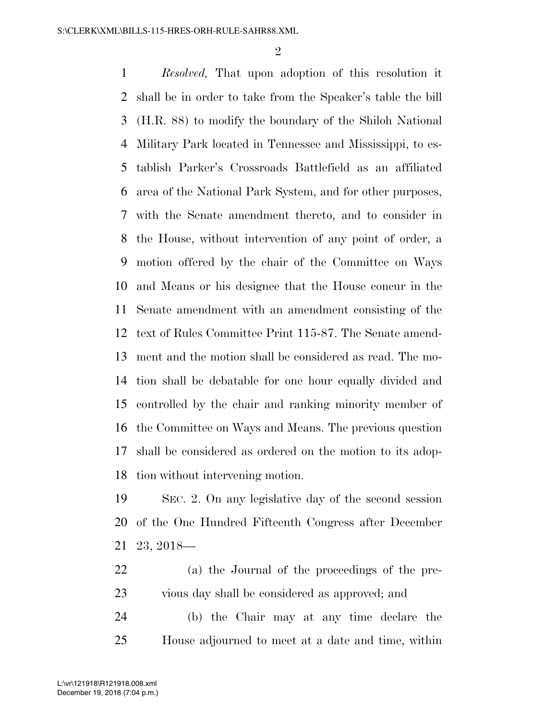$\mathfrak{D}$ 

 *Resolved,* That upon adoption of this resolution it shall be in order to take from the Speaker's table the bill (H.R. 88) to modify the boundary of the Shiloh National Military Park located in Tennessee and Mississippi, to es- tablish Parker's Crossroads Battlefield as an affiliated area of the National Park System, and for other purposes, with the Senate amendment thereto, and to consider in the House, without intervention of any point of order, a motion offered by the chair of the Committee on Ways and Means or his designee that the House concur in the Senate amendment with an amendment consisting of the text of Rules Committee Print 115-87. The Senate amend- ment and the motion shall be considered as read. The mo- tion shall be debatable for one hour equally divided and controlled by the chair and ranking minority member of the Committee on Ways and Means. The previous question shall be considered as ordered on the motion to its adop-tion without intervening motion.

 SEC. 2. On any legislative day of the second session of the One Hundred Fifteenth Congress after December 23, 2018—

 (a) the Journal of the proceedings of the pre-vious day shall be considered as approved; and

 (b) the Chair may at any time declare the House adjourned to meet at a date and time, within